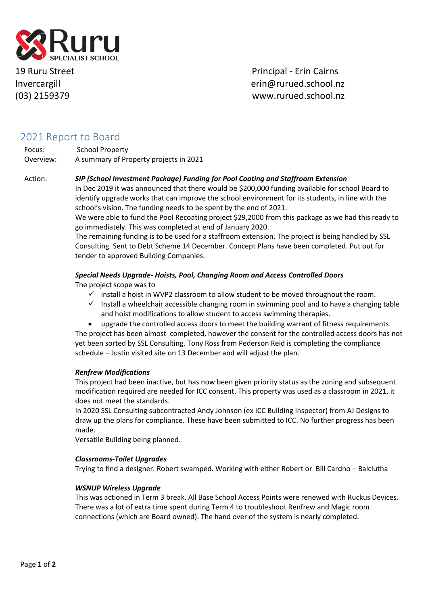

19 Ruru Street **Principal - Erin Cairns** Invercargill eringibles and the ering rurued.school.nz (03) 2159379 www.rurued.school.nz

# 2021 Report to Board

Focus: School Property Overview: A summary of Property projects in 2021

## Action: *SIP (School Investment Package) Funding for Pool Coating and Staffroom Extension*

In Dec 2019 it was announced that there would be \$200,000 funding available for school Board to identify upgrade works that can improve the school environment for its students, in line with the school's vision. The funding needs to be spent by the end of 2021.

We were able to fund the Pool Recoating project \$29,2000 from this package as we had this ready to go immediately. This was completed at end of January 2020.

The remaining funding is to be used for a staffroom extension. The project is being handled by SSL Consulting. Sent to Debt Scheme 14 December. Concept Plans have been completed. Put out for tender to approved Building Companies.

## *Special Needs Upgrade- Hoists, Pool, Changing Room and Access Controlled Doors*

The project scope was to

- $\checkmark$  install a hoist in WVP2 classroom to allow student to be moved throughout the room.
- $\checkmark$  Install a wheelchair accessible changing room in swimming pool and to have a changing table and hoist modifications to allow student to access swimming therapies.
- upgrade the controlled access doors to meet the building warrant of fitness requirements

The project has been almost completed, however the consent for the controlled access doors has not yet been sorted by SSL Consulting. Tony Ross from Pederson Reid is completing the compliance schedule – Justin visited site on 13 December and will adjust the plan.

#### *Renfrew Modifications*

This project had been inactive, but has now been given priority status as the zoning and subsequent modification required are needed for ICC consent. This property was used as a classroom in 2021, it does not meet the standards.

In 2020 SSL Consulting subcontracted Andy Johnson (ex ICC Building Inspector) from AJ Designs to draw up the plans for compliance. These have been submitted to ICC. No further progress has been made.

Versatile Building being planned.

#### *Classrooms-Toilet Upgrades*

Trying to find a designer. Robert swamped. Working with either Robert or Bill Cardno – Balclutha

#### *WSNUP Wireless Upgrade*

This was actioned in Term 3 break. All Base School Access Points were renewed with Ruckus Devices. There was a lot of extra time spent during Term 4 to troubleshoot Renfrew and Magic room connections (which are Board owned). The hand over of the system is nearly completed.